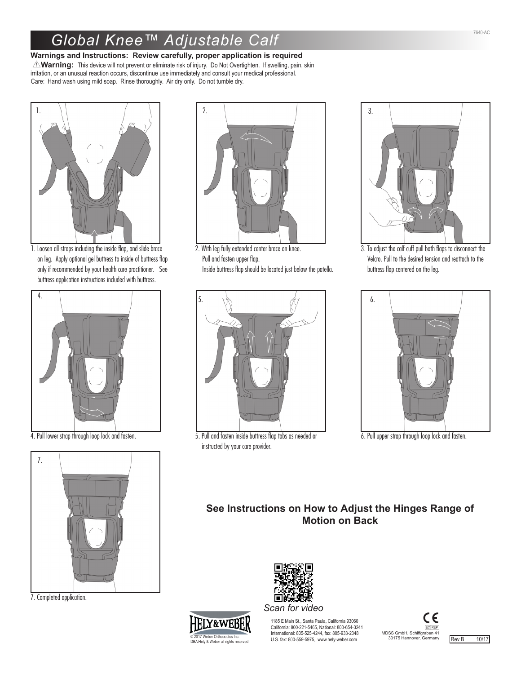## *Global Knee™ Adjustable Calf*

## **Warnings and Instructions: Review carefully, proper application is required**

Y**Warning:** This device will not prevent or eliminate risk of injury. Do Not Overtighten. If swelling, pain, skin irritation, or an unusual reaction occurs, discontinue use immediately and consult your medical professional. Care: Hand wash using mild soap. Rinse thoroughly. Air dry only. Do not tumble dry.



1. Loosen all straps including the inside flap, and slide brace on leg. Apply optional gel buttress to inside of buttress flap only if recommended by your health care practitioner. See buttress application instructions included with buttress.





7. Completed application.



2. With leg fully extended center brace on knee. Pull and fasten upper flap. Inside buttress flap should be located just below the patella.



4. Pull lower strap through loop lock and fasten. 5. Pull and fasten inside buttress flap tabs as needed or 6. Pull upper strap through loop lock and fasten. instructed by your care provider.



3. To adjust the calf cuff pull both flaps to disconnect the Velcro. Pull to the desired tension and reattach to the buttress flap centered on the leg.



## **See Instructions on How to Adjust the Hinges Range of Motion on Back**



© 2017 Weber Orthopedics Inc. DBA Hely & Weber all rights reserved

1185 E Main St., Santa Paula, California 93060 California: 800-221-5465, National: 800-654-3241 International: 805-525-4244, fax: 805-933-2348 U.S. fax: 800-559-5975, www.hely-weber.com